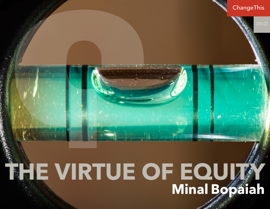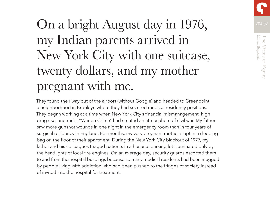

# On a bright August day in 1976, my Indian parents arrived in New York City with one suitcase, twenty dollars, and my mother pregnant with me.

They found their way out of the airport (without Google) and headed to Greenpoint, a neighborhood in Brooklyn where they had secured medical residency positions. They began working at a time when New York City's financial mismanagement, high drug use, and racist "War on Crime" had created an atmosphere of civil war. My father saw more gunshot wounds in one night in the emergency room than in four years of surgical residency in England. For months, my very pregnant mother slept in a sleeping bag on the floor of their apartment. During the New York City blackout of 1977, my father and his colleagues triaged patients in a hospital parking lot illuminated only by the headlights of local fire engines. On an average day, security guards escorted them to and from the hospital buildings because so many medical residents had been mugged by people living with addiction who had been pushed to the fringes of society instead of invited into the hospital for treatment.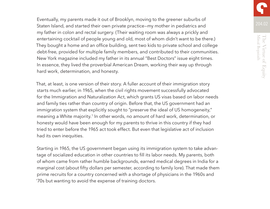Eventually, my parents made it out of Brooklyn, moving to the greener suburbs of Staten Island, and started their own private practice—my mother in pediatrics and my father in colon and rectal surgery. (Their waiting room was always a prickly and entertaining cocktail of people young and old, most of whom didn't want to be there.) They bought a home and an office building, sent two kids to private school and college debt-free, provided for multiple family members, and contributed to their communities. New York magazine included my father in its annual "Best Doctors" issue eight times. In essence, they lived the proverbial American Dream, working their way up through hard work, determination, and honesty.

That, at least, is one version of their story. A fuller account of their immigration story starts much earlier, in 1965, when the civil rights movement successfully advocated for the Immigration and Naturalization Act, which grants US visas based on labor needs and family ties rather than country of origin. Before that, the US government had an immigration system that explicitly sought to "preserve the ideal of US homogeneity," meaning a White majority.<sup>1</sup> In other words, no amount of hard work, determination, or honesty would have been enough for my parents to thrive in this country if they had tried to enter before the 1965 act took effect. But even that legislative act of inclusion had its own inequities.

Starting in 1965, the US government began using its immigration system to take advantage of socialized education in other countries to fill its labor needs. My parents, both of whom came from rather humble backgrounds, earned medical degrees in India for a marginal cost (about fifty dollars per semester, according to family lore). That made them prime recruits for a country concerned with a shortage of physicians in the 1960s and '70s but wanting to avoid the expense of training doctors.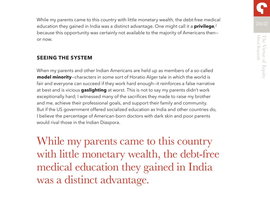204.02 While my parents came to this country with little monetary wealth, the debt-free medical education they gained in India was a distinct advantage. One might call it a **privilege**, 2 because this opportunity was certainly not available to the majority of Americans then or now.

#### **SEEING THE SYSTEM**

When my parents and other Indian Americans are held up as members of a so-called **model minority**—characters in some sort of Horatio Alger tale in which the world is fair and everyone can succeed if they work hard enough—it reinforces a false narrative at best and is vicious **gaslighting** at worst. This is not to say my parents didn't work exceptionally hard; I witnessed many of the sacrifices they made to raise my brother and me, achieve their professional goals, and support their family and community. But if the US government offered socialized education as India and other countries do, I believe the percentage of American-born doctors with dark skin and poor parents would rival those in the Indian Diaspora.

While my parents came to this country with little monetary wealth, the debt-free medical education they gained in India was a distinct advantage.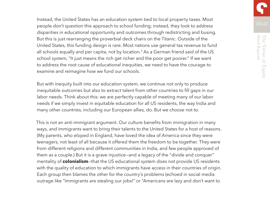Instead, the United States has an education system tied to local property taxes. Most people don't question this approach to school funding; instead, they look to address disparities in educational opportunity and outcomes through redistricting and busing. But this is just rearranging the proverbial deck chairs on the *Titanic*. Outside of the United States, this funding design is rare. Most nations use general tax revenue to fund all schools equally and per capita, not by location.<sup>3</sup> As a German friend said of the US school system, "It just means the rich get richer and the poor get poorer." If we want to address the root cause of educational inequities, we need to have the courage to examine and reimagine how we fund our schools.

But with inequity built into our education system, we continue not only to produce inequitable outcomes but also to extract talent from other countries to fill gaps in our labor needs. Think about this: we are perfectly capable of meeting many of our labor needs if we simply invest in equitable education for all US residents, the way India and many other countries, including our European allies, do. But we *choose* not to.

This is not an anti-immigrant argument. Our culture benefits from immigration in many ways, and immigrants want to bring their talents to the United States for a host of reasons. (My parents, who eloped in England, have loved the idea of America since they were teenagers, not least of all because it offered them the freedom to be together. They were from different religions and different communities in India, and few people approved of them as a couple.) But it is a grave injustice—and a legacy of the "divide and conquer" mentality of **colonialism**—that the US educational system does not provide US residents with the quality of education to which immigrants have access in their countries of origin. Each group then blames the other for the country's problems (echoed in social media outrage like "Immigrants are stealing our jobs!" or "Americans are lazy and don't want to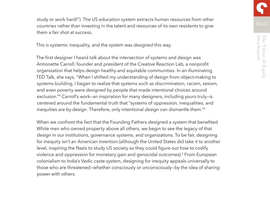study or work hard!"). The US education system extracts human resources from other countries rather than investing in the talent and resources of its own residents to give them a fair shot at success.

This is systemic inequality, and the system was *designed* this way.

The first designer I heard talk about the intersection of systems and design was Antionette Carroll, founder and president of the Creative Reaction Lab, a nonprofit organization that helps design healthy and equitable communities. In an illuminating TED Talk, she says, "When I shifted my understanding of design from object-making to systems-building, I began to realize that systems such as discrimination, racism, sexism, and even poverty were designed by people that made intentional choices around exclusion."4 Carroll's work—an inspiration for many designers, including yours truly—is centered around the fundamental truth that "systems of oppression, inequalities, and inequities are by design. Therefore, only intentional design can dismantle them."5

When we confront the fact that the Founding Fathers designed a system that benefited White men who owned property above all others, we begin to see the legacy of that design in our institutions, governance systems, and organizations. To be fair, designing for inequity isn't an American invention (although the United States did take it to another level, inspiring the Nazis to study US society so they could figure out how to codify violence and oppression for monetary gain and genocidal outcomes).<sup>6</sup> From European colonialism to India's Vedic caste system, designing for inequity appeals universally to those who are threatened—whether consciously or unconsciously—by the idea of sharing power with others.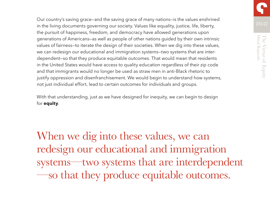Our country's saving grace—and the saving grace of many nations—is the values enshrined in the living documents governing our society. Values like equality, justice, life, liberty, the pursuit of happiness, freedom, and democracy have allowed generations upon generations of Americans—as well as people of other nations guided by their own intrinsic values of fairness—to iterate the design of their societies. When we dig into these values, we can redesign our educational and immigration systems—two systems that are interdependent—so that they produce equitable outcomes. That would mean that residents in the United States would have access to quality education regardless of their zip code and that immigrants would no longer be used as straw men in anti-Black rhetoric to justify oppression and disenfranchisement. We would begin to understand how systems, not just individual effort, lead to certain outcomes for individuals and groups.

With that understanding, just as we have designed for inequity, we can begin to design for **equity**.

When we dig into these values, we can redesign our educational and immigration systems—two systems that are interdependent —so that they produce equitable outcomes.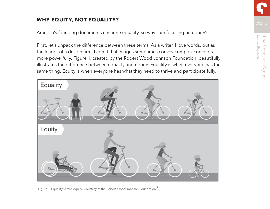## **WHY EQUITY, NOT EQUALITY?** 204.02

America's founding documents enshrine equality, so why I am focusing on equity?

First, let's unpack the difference between these terms. As a writer, I love words, but as the leader of a design firm, I admit that images sometimes convey complex concepts more powerfully. Figure 1, created by the Robert Wood Johnson Foundation, beautifully illustrates the difference between equality and equity. Equality is when everyone has the same thing. Equity is when everyone has what they need to thrive and participate fully.



Figure 1. Equality versus equity. Courtesy of the Robert Wood Johnson Foundation.<sup>7</sup>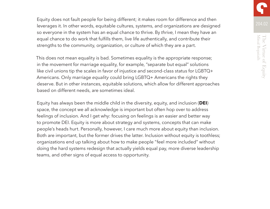Equity does not fault people for being different; it makes room for difference and then leverages it. In other words, equitable cultures, systems, and organizations are designed so everyone in the system has an equal chance to thrive. By *thrive*, I mean they have an equal chance to do work that fulfills them, live life authentically, and contribute their strengths to the community, organization, or culture of which they are a part.

This does not mean equality is bad. Sometimes equality is the appropriate response; in the movement for marriage equality, for example, "separate but equal" solutions like civil unions tip the scales in favor of injustice and second-class status for LGBTQ+ Americans. Only marriage *equality* could bring LGBTQ+ Americans the rights they deserve. But in other instances, equitable solutions, which allow for different approaches based on different needs, are sometimes ideal.

Equity has always been the middle child in the diversity, equity, and inclusion (**DEI**) space, the concept we all acknowledge is important but often hop over to address feelings of inclusion. And I get why: focusing on feelings is an easier and better way to promote DEI. Equity is more about strategy and systems, concepts that can make people's heads hurt. Personally, however, I care much more about equity than inclusion. Both are important, but the former drives the latter. Inclusion without equity is toothless; organizations end up talking about how to make people "feel more included" without doing the hard systems redesign that actually yields equal pay, more diverse leadership teams, and other signs of equal access to opportunity.

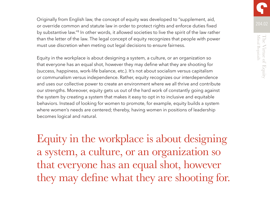Originally from English law, the concept of equity was developed to "supplement, aid, or override common and statute law in order to protect rights and enforce duties fixed by substantive law."8 In other words, it allowed societies to live the spirit of the law rather than the letter of the law. The legal concept of equity recognizes that people with power must use discretion when meting out legal decisions to ensure fairness.

Equity in the workplace is about designing a system, a culture, or an organization so that everyone has an equal shot, however they may define what they are shooting for (success, happiness, work-life balance, etc.). It's not about socialism versus capitalism or communalism versus independence. Rather, equity recognizes our interdependence and uses our collective power to create an environment where we all thrive and contribute our strengths. Moreover, equity gets us out of the hard work of constantly going against the system by creating a system that makes it easy to opt in to inclusive and equitable behaviors. Instead of looking for women to promote, for example, equity builds a system where women's needs are centered; thereby, having women in positions of leadership becomes logical and natural.

Equity in the workplace is about designing a system, a culture, or an organization so that everyone has an equal shot, however they may define what they are shooting for.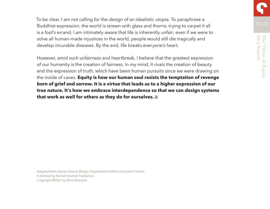To be clear, I am not calling for the design of an idealistic utopia. To paraphrase a Buddhist expression, the world is strewn with glass and thorns; trying to carpet it all is a fool's errand. I am intimately aware that life is inherently unfair; even if we were to solve all human-made injustices in the world, people would still die tragically and develop incurable diseases. By the end, life breaks everyone's heart.

However, amid such unfairness and heartbreak, I believe that the greatest expression of our humanity is the creation of fairness. In my mind, it rivals the creation of beauty and the expression of truth, which have been human pursuits since we were drawing on the inside of caves. **Equity is how our human soul resists the temptation of revenge born of grief and sorrow. It is a virtue that leads us to a higher expression of our true nature. It's how we embrace interdependence so that we can design systems that work as well for others as they do for ourselves.**

Adapted from *Equity: How to Design Organizations Where Everyone Thrives*. Published by Berrett-Koehler Publishers. Copyright ©2021 by Minal Bopaiah.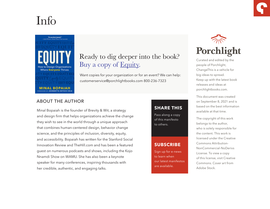## Info



### Ready to dig deeper into the book? Buy a copy of [Equity.](https://www.porchlightbooks.com/product/equity-how-to-design-organizations-where-everyone-thrives--minal-bopaiah?variationCode=9781523090259)

Want copies for your organization or for an event? We can help: customerservice@porchlightbooks.com 800-236-7323

#### ABOUT THE AUTHOR

Minal Bopaiah is the founder of Brevity & Wit, a strategy and design firm that helps organizations achieve the change they wish to see in the world through a unique approach that combines human-centered design, behavior change science, and the principles of inclusion, diversity, equity, and accessibility. Bopaiah has written for the Stanford Social Innovation Review and TheHill.com and has been a featured guest on numerous podcasts and shows, including the Kojo Nnamdi Show on WAMU. She has also been a keynote speaker for many conferences, inspiring thousands with her credible, authentic, and engaging talks.

#### **[SHARE THIS](https://www.porchlightbooks.com/blog/changethis/2021/run-slower)**

Pass along a copy of this manifesto to others.

#### **SUBSCRIBE**

Sign up for e-news to learn when our latest manifestos are available.



Curated and edited by the people of Porchlight, ChangeThis is a vehicle for big ideas to spread. Keep up with the latest book releases and ideas at porchlightbooks.com.

This document was created on September 8, 2021 and is based on the best information available at that time.

The copyright of this work belongs to the author, who is solely responsible for the content. This work is licensed under the Creative Commons Attribution-NonCommercial-NoDerivs License. To view a copy of this license, visit Creative Commons. Cover art from Adobe Stock.